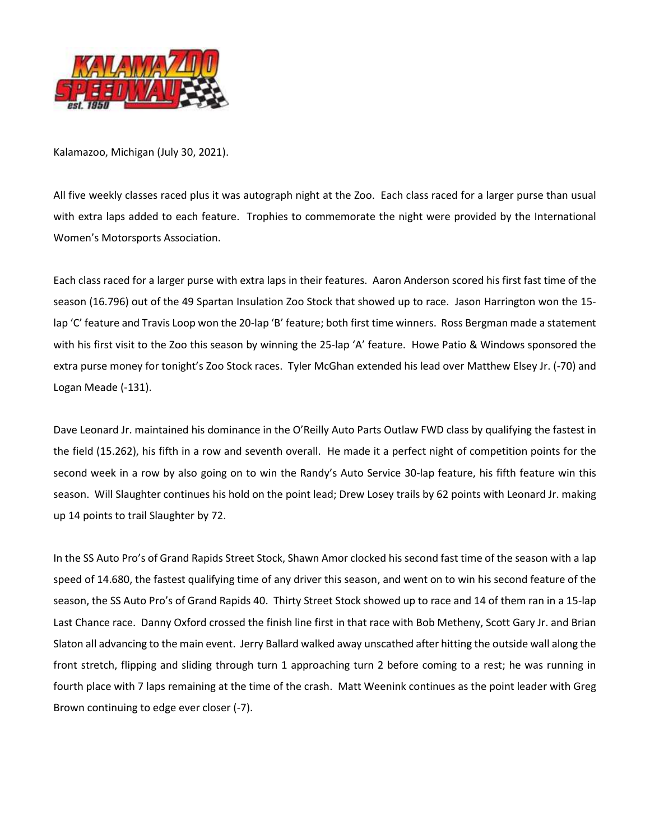

Kalamazoo, Michigan (July 30, 2021).

All five weekly classes raced plus it was autograph night at the Zoo. Each class raced for a larger purse than usual with extra laps added to each feature. Trophies to commemorate the night were provided by the International Women's Motorsports Association.

Each class raced for a larger purse with extra laps in their features. Aaron Anderson scored his first fast time of the season (16.796) out of the 49 Spartan Insulation Zoo Stock that showed up to race. Jason Harrington won the 15 lap 'C' feature and Travis Loop won the 20-lap 'B' feature; both first time winners. Ross Bergman made a statement with his first visit to the Zoo this season by winning the 25-lap 'A' feature. Howe Patio & Windows sponsored the extra purse money for tonight's Zoo Stock races. Tyler McGhan extended his lead over Matthew Elsey Jr. (-70) and Logan Meade (-131).

Dave Leonard Jr. maintained his dominance in the O'Reilly Auto Parts Outlaw FWD class by qualifying the fastest in the field (15.262), his fifth in a row and seventh overall. He made it a perfect night of competition points for the second week in a row by also going on to win the Randy's Auto Service 30-lap feature, his fifth feature win this season. Will Slaughter continues his hold on the point lead; Drew Losey trails by 62 points with Leonard Jr. making up 14 points to trail Slaughter by 72.

In the SS Auto Pro's of Grand Rapids Street Stock, Shawn Amor clocked his second fast time of the season with a lap speed of 14.680, the fastest qualifying time of any driver this season, and went on to win his second feature of the season, the SS Auto Pro's of Grand Rapids 40. Thirty Street Stock showed up to race and 14 of them ran in a 15-lap Last Chance race. Danny Oxford crossed the finish line first in that race with Bob Metheny, Scott Gary Jr. and Brian Slaton all advancing to the main event. Jerry Ballard walked away unscathed after hitting the outside wall along the front stretch, flipping and sliding through turn 1 approaching turn 2 before coming to a rest; he was running in fourth place with 7 laps remaining at the time of the crash. Matt Weenink continues as the point leader with Greg Brown continuing to edge ever closer (-7).